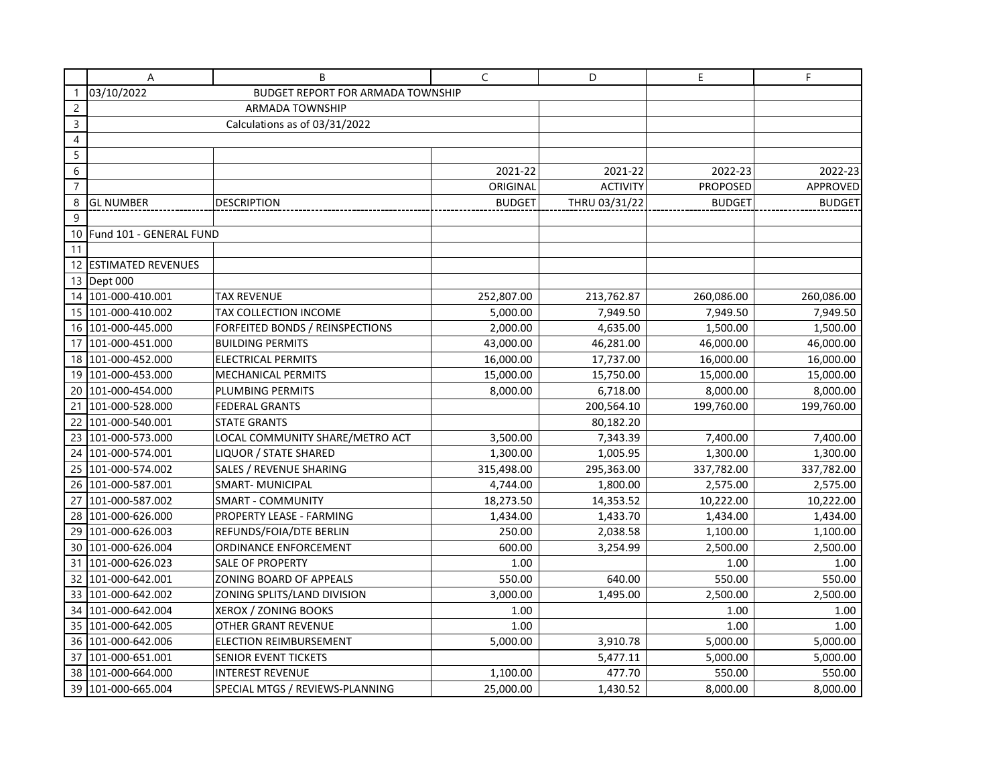|                | Α                                                      | B                               | C             | D               | E               | F.            |
|----------------|--------------------------------------------------------|---------------------------------|---------------|-----------------|-----------------|---------------|
|                | 03/10/2022<br><b>BUDGET REPORT FOR ARMADA TOWNSHIP</b> |                                 |               |                 |                 |               |
| $\overline{c}$ |                                                        | <b>ARMADA TOWNSHIP</b>          |               |                 |                 |               |
| 3              |                                                        | Calculations as of 03/31/2022   |               |                 |                 |               |
| 4              |                                                        |                                 |               |                 |                 |               |
| 5              |                                                        |                                 |               |                 |                 |               |
| $6\,$          |                                                        |                                 | 2021-22       | 2021-22         | 2022-23         | 2022-23       |
| $\overline{7}$ |                                                        |                                 | ORIGINAL      | <b>ACTIVITY</b> | <b>PROPOSED</b> | APPROVED      |
| 8              | <b>GL NUMBER</b>                                       | DESCRIPTION                     | <b>BUDGET</b> | THRU 03/31/22   | <b>BUDGET</b>   | <b>BUDGET</b> |
| 9              |                                                        |                                 |               |                 |                 |               |
| 10             | Fund 101 - GENERAL FUND                                |                                 |               |                 |                 |               |
| 11             |                                                        |                                 |               |                 |                 |               |
|                | 12 ESTIMATED REVENUES                                  |                                 |               |                 |                 |               |
|                | 13 Dept 000                                            |                                 |               |                 |                 |               |
|                | 14 101-000-410.001                                     | TAX REVENUE                     | 252,807.00    | 213,762.87      | 260,086.00      | 260,086.00    |
|                | 15   101-000-410.002                                   | TAX COLLECTION INCOME           | 5,000.00      | 7,949.50        | 7,949.50        | 7,949.50      |
|                | 16 101-000-445.000                                     | FORFEITED BONDS / REINSPECTIONS | 2,000.00      | 4,635.00        | 1,500.00        | 1,500.00      |
|                | 17 101-000-451.000                                     | <b>BUILDING PERMITS</b>         | 43,000.00     | 46,281.00       | 46,000.00       | 46,000.00     |
|                | 18 101-000-452.000                                     | <b>ELECTRICAL PERMITS</b>       | 16,000.00     | 17,737.00       | 16,000.00       | 16,000.00     |
|                | 19 101-000-453.000                                     | <b>MECHANICAL PERMITS</b>       | 15,000.00     | 15,750.00       | 15,000.00       | 15,000.00     |
| 20             | 101-000-454.000                                        | PLUMBING PERMITS                | 8,000.00      | 6,718.00        | 8,000.00        | 8,000.00      |
| 21             | 101-000-528.000                                        | <b>FEDERAL GRANTS</b>           |               | 200,564.10      | 199,760.00      | 199,760.00    |
| 22             | 101-000-540.001                                        | <b>STATE GRANTS</b>             |               | 80,182.20       |                 |               |
|                | 23 101-000-573.000                                     | LOCAL COMMUNITY SHARE/METRO ACT | 3,500.00      | 7,343.39        | 7,400.00        | 7,400.00      |
|                | 24 101-000-574.001                                     | LIQUOR / STATE SHARED           | 1,300.00      | 1,005.95        | 1,300.00        | 1,300.00      |
|                | 25 101-000-574.002                                     | SALES / REVENUE SHARING         | 315,498.00    | 295,363.00      | 337,782.00      | 337,782.00    |
|                | 26 101-000-587.001                                     | <b>SMART-MUNICIPAL</b>          | 4,744.00      | 1,800.00        | 2,575.00        | 2,575.00      |
| 27             | 101-000-587.002                                        | <b>SMART - COMMUNITY</b>        | 18,273.50     | 14,353.52       | 10,222.00       | 10,222.00     |
|                | 28 101-000-626.000                                     | PROPERTY LEASE - FARMING        | 1,434.00      | 1,433.70        | 1,434.00        | 1,434.00      |
|                | 29 101-000-626.003                                     | REFUNDS/FOIA/DTE BERLIN         | 250.00        | 2,038.58        | 1,100.00        | 1,100.00      |
|                | 30 101-000-626.004                                     | ORDINANCE ENFORCEMENT           | 600.00        | 3,254.99        | 2,500.00        | 2,500.00      |
| 31             | 101-000-626.023                                        | <b>SALE OF PROPERTY</b>         | 1.00          |                 | 1.00            | 1.00          |
|                | 32 101-000-642.001                                     | ZONING BOARD OF APPEALS         | 550.00        | 640.00          | 550.00          | 550.00        |
|                | 33 101-000-642.002                                     | ZONING SPLITS/LAND DIVISION     | 3,000.00      | 1,495.00        | 2,500.00        | 2,500.00      |
|                | 34 101-000-642.004                                     | XEROX / ZONING BOOKS            | 1.00          |                 | 1.00            | 1.00          |
|                | 35 101-000-642.005                                     | OTHER GRANT REVENUE             | 1.00          |                 | 1.00            | 1.00          |
|                | 36 101-000-642.006                                     | <b>ELECTION REIMBURSEMENT</b>   | 5,000.00      | 3,910.78        | 5,000.00        | 5,000.00      |
|                | 37 101-000-651.001                                     | SENIOR EVENT TICKETS            |               | 5,477.11        | 5,000.00        | 5,000.00      |
|                | 38 101-000-664.000                                     | <b>INTEREST REVENUE</b>         | 1,100.00      | 477.70          | 550.00          | 550.00        |
|                | 39 101-000-665.004                                     | SPECIAL MTGS / REVIEWS-PLANNING | 25,000.00     | 1,430.52        | 8,000.00        | 8,000.00      |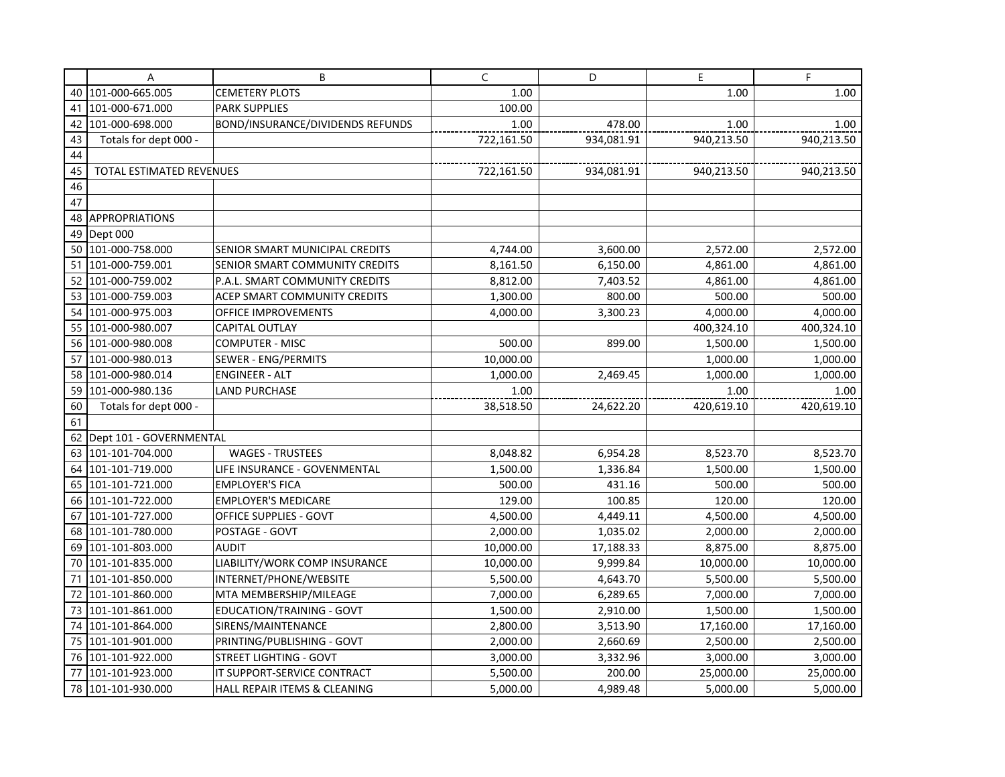|    | Α                          | B                                       | C          | D          | E          | F          |
|----|----------------------------|-----------------------------------------|------------|------------|------------|------------|
| 40 | 101-000-665.005            | <b>CEMETERY PLOTS</b>                   | 1.00       |            | 1.00       | 1.00       |
| 41 | 101-000-671.000            | <b>PARK SUPPLIES</b>                    | 100.00     |            |            |            |
| 42 | 101-000-698.000            | <b>BOND/INSURANCE/DIVIDENDS REFUNDS</b> | 1.00       | 478.00     | 1.00       | 1.00       |
| 43 | Totals for dept 000 -      |                                         | 722,161.50 | 934,081.91 | 940,213.50 | 940,213.50 |
| 44 |                            |                                         |            |            |            |            |
| 45 | TOTAL ESTIMATED REVENUES   |                                         | 722,161.50 | 934,081.91 | 940,213.50 | 940,213.50 |
| 46 |                            |                                         |            |            |            |            |
| 47 |                            |                                         |            |            |            |            |
| 48 | <b>APPROPRIATIONS</b>      |                                         |            |            |            |            |
| 49 | Dept 000                   |                                         |            |            |            |            |
| 50 | 101-000-758.000            | SENIOR SMART MUNICIPAL CREDITS          | 4,744.00   | 3,600.00   | 2,572.00   | 2,572.00   |
| 51 | 101-000-759.001            | SENIOR SMART COMMUNITY CREDITS          | 8,161.50   | 6,150.00   | 4,861.00   | 4,861.00   |
| 52 | 101-000-759.002            | P.A.L. SMART COMMUNITY CREDITS          | 8,812.00   | 7,403.52   | 4,861.00   | 4,861.00   |
| 53 | 101-000-759.003            | ACEP SMART COMMUNITY CREDITS            | 1,300.00   | 800.00     | 500.00     | 500.00     |
| 54 | 101-000-975.003            | OFFICE IMPROVEMENTS                     | 4,000.00   | 3,300.23   | 4,000.00   | 4,000.00   |
| 55 | 101-000-980.007            | <b>CAPITAL OUTLAY</b>                   |            |            | 400,324.10 | 400,324.10 |
| 56 | 101-000-980.008            | <b>COMPUTER - MISC</b>                  | 500.00     | 899.00     | 1,500.00   | 1,500.00   |
| 57 | 101-000-980.013            | SEWER - ENG/PERMITS                     | 10,000.00  |            | 1,000.00   | 1,000.00   |
| 58 | 101-000-980.014            | <b>ENGINEER - ALT</b>                   | 1,000.00   | 2,469.45   | 1,000.00   | 1,000.00   |
| 59 | 101-000-980.136            | <b>LAND PURCHASE</b>                    | 1.00       |            | 1.00       | 1.00       |
| 60 | Totals for dept 000 -      |                                         | 38,518.50  | 24,622.20  | 420,619.10 | 420,619.10 |
| 61 |                            |                                         |            |            |            |            |
|    | 62 Dept 101 - GOVERNMENTAL |                                         |            |            |            |            |
| 63 | 101-101-704.000            | <b>WAGES - TRUSTEES</b>                 | 8,048.82   | 6,954.28   | 8,523.70   | 8,523.70   |
| 64 | 101-101-719.000            | LIFE INSURANCE - GOVENMENTAL            | 1,500.00   | 1,336.84   | 1,500.00   | 1,500.00   |
| 65 | 101-101-721.000            | <b>EMPLOYER'S FICA</b>                  | 500.00     | 431.16     | 500.00     | 500.00     |
| 66 | 101-101-722.000            | <b>EMPLOYER'S MEDICARE</b>              | 129.00     | 100.85     | 120.00     | 120.00     |
| 67 | 101-101-727.000            | OFFICE SUPPLIES - GOVT                  | 4,500.00   | 4,449.11   | 4,500.00   | 4,500.00   |
| 68 | 101-101-780.000            | POSTAGE - GOVT                          | 2,000.00   | 1,035.02   | 2,000.00   | 2,000.00   |
|    | 69 101-101-803.000         | <b>AUDIT</b>                            | 10,000.00  | 17,188.33  | 8,875.00   | 8,875.00   |
|    | 70 101-101-835.000         | LIABILITY/WORK COMP INSURANCE           | 10,000.00  | 9,999.84   | 10,000.00  | 10,000.00  |
| 71 | 101-101-850.000            | INTERNET/PHONE/WEBSITE                  | 5,500.00   | 4,643.70   | 5,500.00   | 5,500.00   |
| 72 | 101-101-860.000            | MTA MEMBERSHIP/MILEAGE                  | 7,000.00   | 6,289.65   | 7,000.00   | 7,000.00   |
| 73 | 101-101-861.000            | EDUCATION/TRAINING - GOVT               | 1,500.00   | 2,910.00   | 1,500.00   | 1,500.00   |
| 74 | 101-101-864.000            | SIRENS/MAINTENANCE                      | 2,800.00   | 3,513.90   | 17,160.00  | 17,160.00  |
| 75 | 101-101-901.000            | PRINTING/PUBLISHING - GOVT              | 2,000.00   | 2,660.69   | 2,500.00   | 2,500.00   |
| 76 | 101-101-922.000            | <b>STREET LIGHTING - GOVT</b>           | 3,000.00   | 3,332.96   | 3,000.00   | 3,000.00   |
| 77 | 101-101-923.000            | IT SUPPORT-SERVICE CONTRACT             | 5,500.00   | 200.00     | 25,000.00  | 25,000.00  |
|    | 78 101-101-930.000         | HALL REPAIR ITEMS & CLEANING            | 5,000.00   | 4,989.48   | 5,000.00   | 5,000.00   |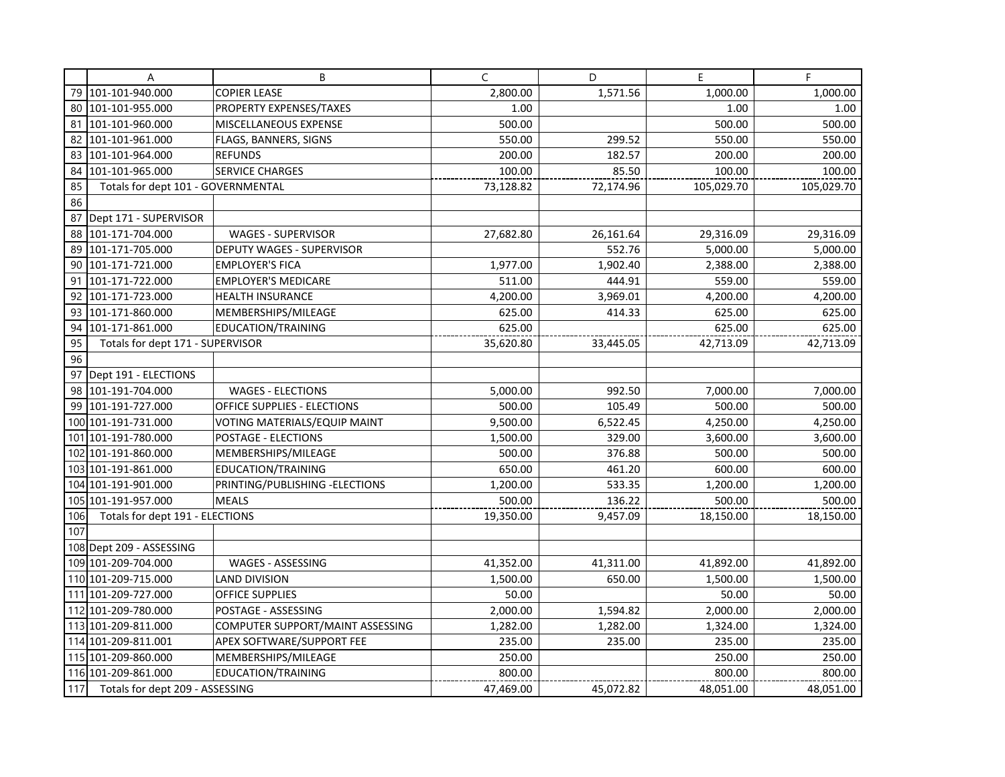|     | Α                                  | B                                | C         | D         | E          | F.         |
|-----|------------------------------------|----------------------------------|-----------|-----------|------------|------------|
|     | 79 101-101-940.000                 | <b>COPIER LEASE</b>              | 2,800.00  | 1,571.56  | 1,000.00   | 1,000.00   |
| 80  | 101-101-955.000                    | PROPERTY EXPENSES/TAXES          | 1.00      |           | 1.00       | 1.00       |
| 81  | 101-101-960.000                    | MISCELLANEOUS EXPENSE            | 500.00    |           | 500.00     | 500.00     |
| 82  | 101-101-961.000                    | FLAGS, BANNERS, SIGNS            | 550.00    | 299.52    | 550.00     | 550.00     |
| 83  | 101-101-964.000                    | <b>REFUNDS</b>                   | 200.00    | 182.57    | 200.00     | 200.00     |
| 84  | 101-101-965.000                    | <b>SERVICE CHARGES</b>           | 100.00    | 85.50     | 100.00     | 100.00     |
| 85  | Totals for dept 101 - GOVERNMENTAL |                                  | 73,128.82 | 72,174.96 | 105,029.70 | 105,029.70 |
| 86  |                                    |                                  |           |           |            |            |
| 87  | Dept 171 - SUPERVISOR              |                                  |           |           |            |            |
| 88  | 101-171-704.000                    | <b>WAGES - SUPERVISOR</b>        | 27,682.80 | 26,161.64 | 29,316.09  | 29,316.09  |
| 89  | 101-171-705.000                    | <b>DEPUTY WAGES - SUPERVISOR</b> |           | 552.76    | 5,000.00   | 5,000.00   |
| 90  | 101-171-721.000                    | <b>EMPLOYER'S FICA</b>           | 1,977.00  | 1,902.40  | 2,388.00   | 2,388.00   |
| 91  | 101-171-722.000                    | <b>EMPLOYER'S MEDICARE</b>       | 511.00    | 444.91    | 559.00     | 559.00     |
| 92  | 101-171-723.000                    | <b>HEALTH INSURANCE</b>          | 4,200.00  | 3,969.01  | 4,200.00   | 4,200.00   |
|     | 93 101-171-860.000                 | MEMBERSHIPS/MILEAGE              | 625.00    | 414.33    | 625.00     | 625.00     |
| 94  | 101-171-861.000                    | EDUCATION/TRAINING               | 625.00    |           | 625.00     | 625.00     |
| 95  | Totals for dept 171 - SUPERVISOR   |                                  | 35,620.80 | 33,445.05 | 42,713.09  | 42,713.09  |
| 96  |                                    |                                  |           |           |            |            |
| 97  | Dept 191 - ELECTIONS               |                                  |           |           |            |            |
| 98  | 101-191-704.000                    | <b>WAGES - ELECTIONS</b>         | 5,000.00  | 992.50    | 7,000.00   | 7,000.00   |
| 99  | 101-191-727.000                    | OFFICE SUPPLIES - ELECTIONS      | 500.00    | 105.49    | 500.00     | 500.00     |
|     | 100 101-191-731.000                | VOTING MATERIALS/EQUIP MAINT     | 9,500.00  | 6,522.45  | 4,250.00   | 4,250.00   |
|     | 101 101-191-780.000                | POSTAGE - ELECTIONS              | 1,500.00  | 329.00    | 3,600.00   | 3,600.00   |
|     | 102 101-191-860.000                | MEMBERSHIPS/MILEAGE              | 500.00    | 376.88    | 500.00     | 500.00     |
|     | 103 101-191-861.000                | EDUCATION/TRAINING               | 650.00    | 461.20    | 600.00     | 600.00     |
|     | 104 101-191-901.000                | PRINTING/PUBLISHING - ELECTIONS  | 1,200.00  | 533.35    | 1,200.00   | 1,200.00   |
|     | 105 101-191-957.000                | <b>MEALS</b>                     | 500.00    | 136.22    | 500.00     | 500.00     |
| 106 | Totals for dept 191 - ELECTIONS    |                                  | 19,350.00 | 9,457.09  | 18,150.00  | 18,150.00  |
| 107 |                                    |                                  |           |           |            |            |
|     | 108 Dept 209 - ASSESSING           |                                  |           |           |            |            |
|     | 109 101-209-704.000                | WAGES - ASSESSING                | 41,352.00 | 41,311.00 | 41,892.00  | 41,892.00  |
|     | 110 101-209-715.000                | <b>LAND DIVISION</b>             | 1,500.00  | 650.00    | 1,500.00   | 1,500.00   |
|     | 111 101-209-727.000                | <b>OFFICE SUPPLIES</b>           | 50.00     |           | 50.00      | 50.00      |
|     | 112 101-209-780.000                | POSTAGE - ASSESSING              | 2,000.00  | 1,594.82  | 2,000.00   | 2,000.00   |
|     | 113 101-209-811.000                | COMPUTER SUPPORT/MAINT ASSESSING | 1,282.00  | 1,282.00  | 1,324.00   | 1,324.00   |
|     | 114 101-209-811.001                | APEX SOFTWARE/SUPPORT FEE        | 235.00    | 235.00    | 235.00     | 235.00     |
|     | 115 101-209-860.000                | MEMBERSHIPS/MILEAGE              | 250.00    |           | 250.00     | 250.00     |
|     | 116 101-209-861.000                | EDUCATION/TRAINING               | 800.00    |           | 800.00     | 800.00     |
| 117 | Totals for dept 209 - ASSESSING    |                                  | 47,469.00 | 45,072.82 | 48,051.00  | 48,051.00  |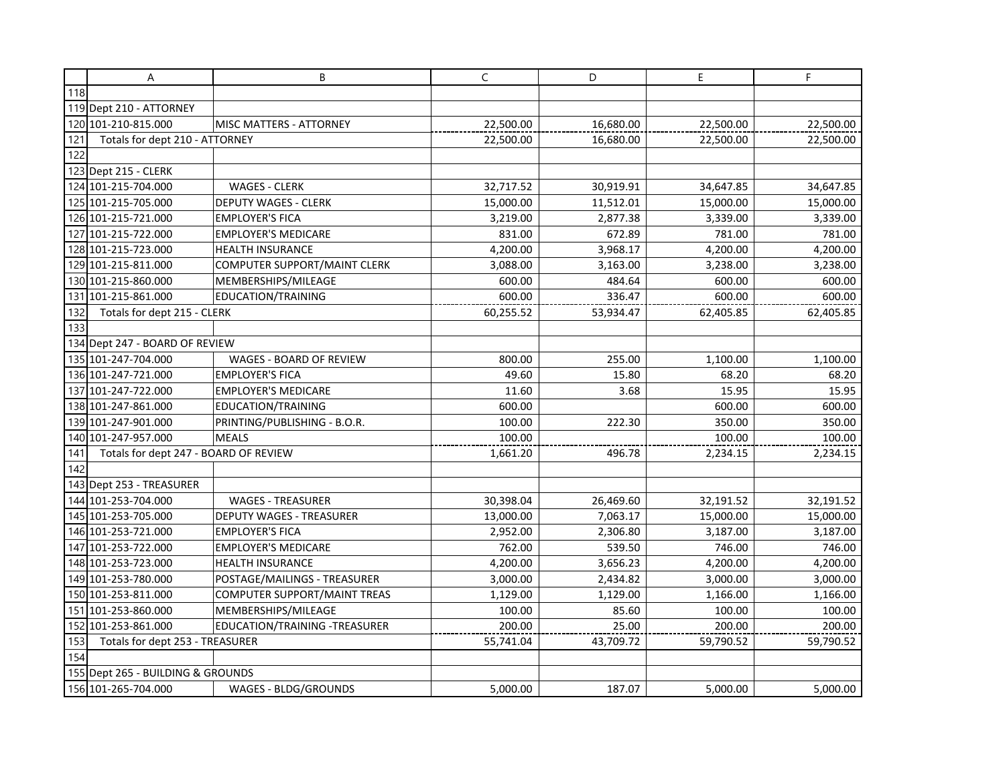|     | A                                     | В                                   | C         | D         | E         | F.        |
|-----|---------------------------------------|-------------------------------------|-----------|-----------|-----------|-----------|
| 118 |                                       |                                     |           |           |           |           |
|     | 119 Dept 210 - ATTORNEY               |                                     |           |           |           |           |
|     | 120 101-210-815.000                   | <b>MISC MATTERS - ATTORNEY</b>      | 22,500.00 | 16,680.00 | 22,500.00 | 22,500.00 |
| 121 | Totals for dept 210 - ATTORNEY        |                                     | 22,500.00 | 16,680.00 | 22,500.00 | 22,500.00 |
| 122 |                                       |                                     |           |           |           |           |
|     | 123 Dept 215 - CLERK                  |                                     |           |           |           |           |
|     | 124 101-215-704.000                   | <b>WAGES - CLERK</b>                | 32,717.52 | 30,919.91 | 34,647.85 | 34,647.85 |
|     | 125 101-215-705.000                   | <b>DEPUTY WAGES - CLERK</b>         | 15,000.00 | 11,512.01 | 15,000.00 | 15,000.00 |
|     | 126 101-215-721.000                   | <b>EMPLOYER'S FICA</b>              | 3,219.00  | 2,877.38  | 3,339.00  | 3,339.00  |
|     | 127 101-215-722.000                   | <b>EMPLOYER'S MEDICARE</b>          | 831.00    | 672.89    | 781.00    | 781.00    |
|     | 128 101-215-723.000                   | <b>HEALTH INSURANCE</b>             | 4,200.00  | 3,968.17  | 4,200.00  | 4,200.00  |
|     | 129 101-215-811.000                   | <b>COMPUTER SUPPORT/MAINT CLERK</b> | 3,088.00  | 3,163.00  | 3,238.00  | 3,238.00  |
|     | 130 101-215-860.000                   | MEMBERSHIPS/MILEAGE                 | 600.00    | 484.64    | 600.00    | 600.00    |
|     | 131 101-215-861.000                   | EDUCATION/TRAINING                  | 600.00    | 336.47    | 600.00    | 600.00    |
| 132 | Totals for dept 215 - CLERK           |                                     | 60,255.52 | 53,934.47 | 62,405.85 | 62,405.85 |
| 133 |                                       |                                     |           |           |           |           |
|     | 134 Dept 247 - BOARD OF REVIEW        |                                     |           |           |           |           |
|     | 135 101-247-704.000                   | WAGES - BOARD OF REVIEW             | 800.00    | 255.00    | 1,100.00  | 1,100.00  |
|     | 136 101-247-721.000                   | <b>EMPLOYER'S FICA</b>              | 49.60     | 15.80     | 68.20     | 68.20     |
|     | 137 101-247-722.000                   | <b>EMPLOYER'S MEDICARE</b>          | 11.60     | 3.68      | 15.95     | 15.95     |
|     | 138 101-247-861.000                   | EDUCATION/TRAINING                  | 600.00    |           | 600.00    | 600.00    |
|     | 139 101-247-901.000                   | PRINTING/PUBLISHING - B.O.R.        | 100.00    | 222.30    | 350.00    | 350.00    |
|     | 140 101-247-957.000                   | MEALS                               | 100.00    |           | 100.00    | 100.00    |
| 141 | Totals for dept 247 - BOARD OF REVIEW |                                     | 1,661.20  | 496.78    | 2,234.15  | 2,234.15  |
| 142 |                                       |                                     |           |           |           |           |
|     | 143 Dept 253 - TREASURER              |                                     |           |           |           |           |
|     | 144 101-253-704.000                   | <b>WAGES - TREASURER</b>            | 30,398.04 | 26,469.60 | 32,191.52 | 32,191.52 |
|     | 145 101-253-705.000                   | <b>DEPUTY WAGES - TREASURER</b>     | 13,000.00 | 7,063.17  | 15,000.00 | 15,000.00 |
|     | 146 101-253-721.000                   | <b>EMPLOYER'S FICA</b>              | 2,952.00  | 2,306.80  | 3,187.00  | 3,187.00  |
|     | 147 101-253-722.000                   | <b>EMPLOYER'S MEDICARE</b>          | 762.00    | 539.50    | 746.00    | 746.00    |
|     | 148 101-253-723.000                   | <b>HEALTH INSURANCE</b>             | 4,200.00  | 3,656.23  | 4,200.00  | 4,200.00  |
|     | 149 101-253-780.000                   | POSTAGE/MAILINGS - TREASURER        | 3,000.00  | 2,434.82  | 3,000.00  | 3,000.00  |
|     | 150 101-253-811.000                   | <b>COMPUTER SUPPORT/MAINT TREAS</b> | 1,129.00  | 1,129.00  | 1,166.00  | 1,166.00  |
|     | 151 101-253-860.000                   | MEMBERSHIPS/MILEAGE                 | 100.00    | 85.60     | 100.00    | 100.00    |
|     | 152 101-253-861.000                   | EDUCATION/TRAINING -TREASURER       | 200.00    | 25.00     | 200.00    | 200.00    |
| 153 | Totals for dept 253 - TREASURER       |                                     | 55,741.04 | 43,709.72 | 59,790.52 | 59,790.52 |
| 154 |                                       |                                     |           |           |           |           |
|     | 155 Dept 265 - BUILDING & GROUNDS     |                                     |           |           |           |           |
|     | 156 101-265-704.000                   | WAGES - BLDG/GROUNDS                | 5,000.00  | 187.07    | 5,000.00  | 5,000.00  |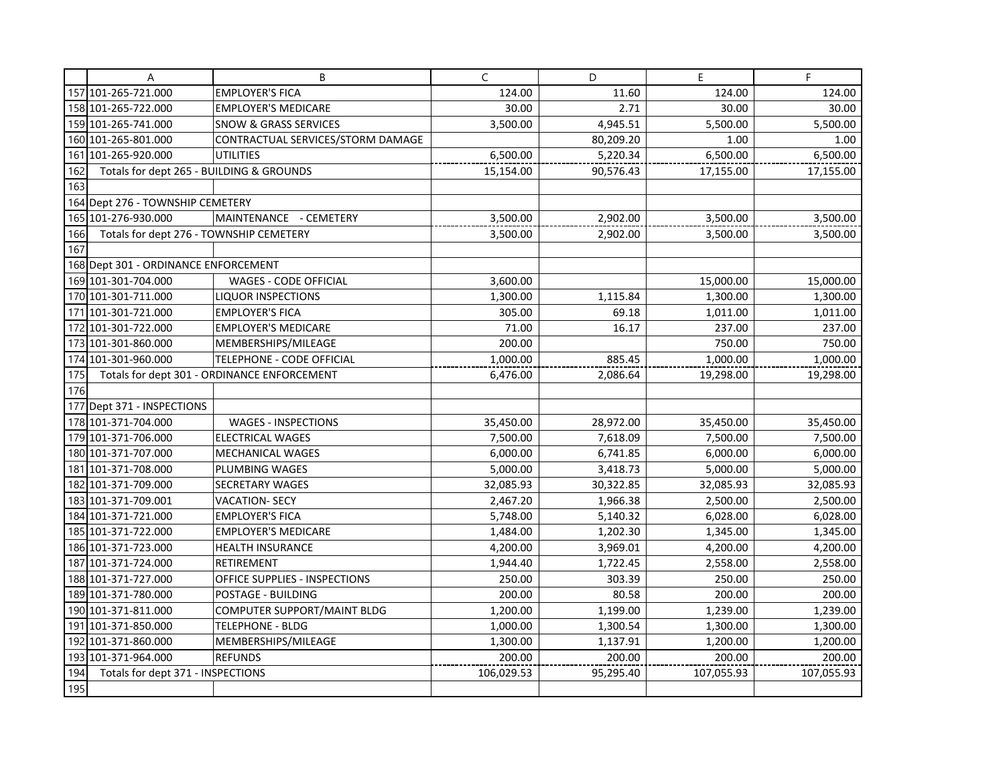|     | Α                                        | B                                           | $\mathsf{C}$ | D         | E          | F          |
|-----|------------------------------------------|---------------------------------------------|--------------|-----------|------------|------------|
|     | 157 101-265-721.000                      | <b>EMPLOYER'S FICA</b>                      | 124.00       | 11.60     | 124.00     | 124.00     |
|     | 158 101-265-722.000                      | <b>EMPLOYER'S MEDICARE</b>                  | 30.00        | 2.71      | 30.00      | 30.00      |
|     | 159 101-265-741.000                      | <b>SNOW &amp; GRASS SERVICES</b>            | 3,500.00     | 4,945.51  | 5,500.00   | 5,500.00   |
|     | 160 101-265-801.000                      | CONTRACTUAL SERVICES/STORM DAMAGE           |              | 80,209.20 | 1.00       | 1.00       |
|     | 161 101-265-920.000                      | <b>UTILITIES</b>                            | 6,500.00     | 5,220.34  | 6,500.00   | 6,500.00   |
| 162 | Totals for dept 265 - BUILDING & GROUNDS |                                             | 15,154.00    | 90,576.43 | 17,155.00  | 17,155.00  |
| 163 |                                          |                                             |              |           |            |            |
|     | 164 Dept 276 - TOWNSHIP CEMETERY         |                                             |              |           |            |            |
|     | 165 101-276-930.000                      | MAINTENANCE - CEMETERY                      | 3,500.00     | 2,902.00  | 3,500.00   | 3,500.00   |
| 166 | Totals for dept 276 - TOWNSHIP CEMETERY  |                                             | 3,500.00     | 2,902.00  | 3,500.00   | 3,500.00   |
| 167 |                                          |                                             |              |           |            |            |
|     | 168 Dept 301 - ORDINANCE ENFORCEMENT     |                                             |              |           |            |            |
|     | 169 101-301-704.000                      | WAGES - CODE OFFICIAL                       | 3,600.00     |           | 15,000.00  | 15,000.00  |
|     | 170 101-301-711.000                      | <b>LIQUOR INSPECTIONS</b>                   | 1,300.00     | 1,115.84  | 1,300.00   | 1,300.00   |
|     | 171 101-301-721.000                      | <b>EMPLOYER'S FICA</b>                      | 305.00       | 69.18     | 1,011.00   | 1,011.00   |
|     | 172 101-301-722.000                      | <b>EMPLOYER'S MEDICARE</b>                  | 71.00        | 16.17     | 237.00     | 237.00     |
|     | 173 101-301-860.000                      | MEMBERSHIPS/MILEAGE                         | 200.00       |           | 750.00     | 750.00     |
|     | 174 101-301-960.000                      | TELEPHONE - CODE OFFICIAL                   | 1,000.00     | 885.45    | 1,000.00   | 1,000.00   |
| 175 |                                          | Totals for dept 301 - ORDINANCE ENFORCEMENT | 6,476.00     | 2,086.64  | 19,298.00  | 19,298.00  |
| 176 |                                          |                                             |              |           |            |            |
|     | 177 Dept 371 - INSPECTIONS               |                                             |              |           |            |            |
|     | 178 101-371-704.000                      | WAGES - INSPECTIONS                         | 35,450.00    | 28,972.00 | 35,450.00  | 35,450.00  |
|     | 179 101-371-706.000                      | <b>ELECTRICAL WAGES</b>                     | 7,500.00     | 7,618.09  | 7,500.00   | 7,500.00   |
|     | 180 101-371-707.000                      | <b>MECHANICAL WAGES</b>                     | 6,000.00     | 6,741.85  | 6,000.00   | 6,000.00   |
|     | 181 101-371-708.000                      | PLUMBING WAGES                              | 5,000.00     | 3,418.73  | 5,000.00   | 5,000.00   |
|     | 182 101-371-709.000                      | <b>SECRETARY WAGES</b>                      | 32,085.93    | 30,322.85 | 32,085.93  | 32,085.93  |
|     | 183 101-371-709.001                      | <b>VACATION- SECY</b>                       | 2,467.20     | 1,966.38  | 2,500.00   | 2,500.00   |
|     | 184 101-371-721.000                      | <b>EMPLOYER'S FICA</b>                      | 5,748.00     | 5,140.32  | 6,028.00   | 6,028.00   |
|     | 185 101-371-722.000                      | <b>EMPLOYER'S MEDICARE</b>                  | 1,484.00     | 1,202.30  | 1,345.00   | 1,345.00   |
|     | 186 101-371-723.000                      | <b>HEALTH INSURANCE</b>                     | 4,200.00     | 3,969.01  | 4,200.00   | 4,200.00   |
|     | 187 101-371-724.000                      | <b>RETIREMENT</b>                           | 1,944.40     | 1,722.45  | 2,558.00   | 2,558.00   |
|     | 188 101-371-727.000                      | OFFICE SUPPLIES - INSPECTIONS               | 250.00       | 303.39    | 250.00     | 250.00     |
|     | 189 101-371-780.000                      | POSTAGE - BUILDING                          | 200.00       | 80.58     | 200.00     | 200.00     |
|     | 190 101 - 371 - 811,000                  | <b>COMPUTER SUPPORT/MAINT BLDG</b>          | 1,200.00     | 1,199.00  | 1,239.00   | 1,239.00   |
|     | 191 101-371-850.000                      | <b>TELEPHONE - BLDG</b>                     | 1,000.00     | 1,300.54  | 1,300.00   | 1,300.00   |
|     | 192 101-371-860.000                      | MEMBERSHIPS/MILEAGE                         | 1,300.00     | 1,137.91  | 1,200.00   | 1,200.00   |
|     | 193 101-371-964.000                      | <b>REFUNDS</b>                              | 200.00       | 200.00    | 200.00     | 200.00     |
| 194 | Totals for dept 371 - INSPECTIONS        |                                             | 106,029.53   | 95,295.40 | 107,055.93 | 107,055.93 |
| 195 |                                          |                                             |              |           |            |            |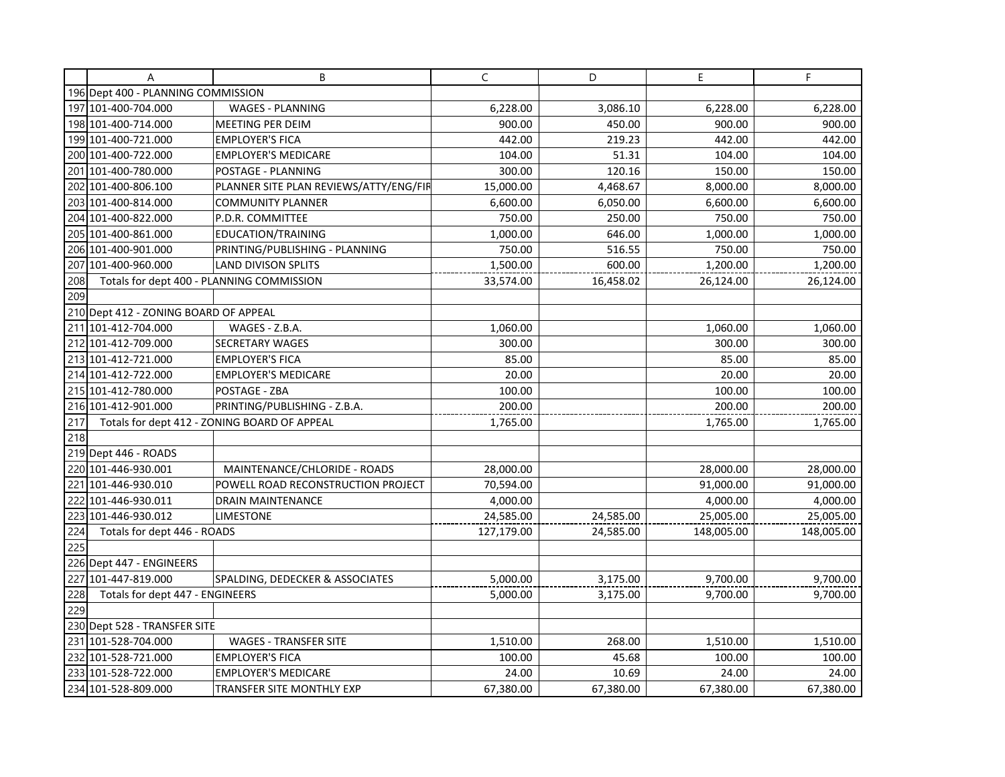|     | A                                         | B                                            | C          | D         | E          | F          |
|-----|-------------------------------------------|----------------------------------------------|------------|-----------|------------|------------|
|     | 196 Dept 400 - PLANNING COMMISSION        |                                              |            |           |            |            |
|     | 197 101-400-704.000                       | <b>WAGES - PLANNING</b>                      | 6,228.00   | 3,086.10  | 6,228.00   | 6,228.00   |
|     | 198 101-400-714.000                       | MEETING PER DEIM                             | 900.00     | 450.00    | 900.00     | 900.00     |
|     | 199 101-400-721.000                       | <b>EMPLOYER'S FICA</b>                       | 442.00     | 219.23    | 442.00     | 442.00     |
|     | 200 101-400-722.000                       | <b>EMPLOYER'S MEDICARE</b>                   | 104.00     | 51.31     | 104.00     | 104.00     |
|     | 201 101-400-780.000                       | POSTAGE - PLANNING                           | 300.00     | 120.16    | 150.00     | 150.00     |
|     | 202 101-400-806.100                       | PLANNER SITE PLAN REVIEWS/ATTY/ENG/FIR       | 15,000.00  | 4,468.67  | 8,000.00   | 8,000.00   |
|     | 203 101-400-814.000                       | COMMUNITY PLANNER                            | 6,600.00   | 6,050.00  | 6,600.00   | 6,600.00   |
|     | 204 101-400-822.000                       | P.D.R. COMMITTEE                             | 750.00     | 250.00    | 750.00     | 750.00     |
|     | 205 101-400-861.000                       | EDUCATION/TRAINING                           | 1,000.00   | 646.00    | 1,000.00   | 1,000.00   |
|     | 206 101-400-901.000                       | PRINTING/PUBLISHING - PLANNING               | 750.00     | 516.55    | 750.00     | 750.00     |
| 207 | 101-400-960.000                           | <b>LAND DIVISON SPLITS</b>                   | 1,500.00   | 600.00    | 1,200.00   | 1,200.00   |
| 208 | Totals for dept 400 - PLANNING COMMISSION |                                              | 33,574.00  | 16,458.02 | 26,124.00  | 26,124.00  |
| 209 |                                           |                                              |            |           |            |            |
|     | 210 Dept 412 - ZONING BOARD OF APPEAL     |                                              |            |           |            |            |
|     | 211 101-412-704.000                       | WAGES - Z.B.A.                               | 1,060.00   |           | 1,060.00   | 1,060.00   |
|     | 212 101-412-709.000                       | <b>SECRETARY WAGES</b>                       | 300.00     |           | 300.00     | 300.00     |
|     | 213 101-412-721.000                       | <b>EMPLOYER'S FICA</b>                       | 85.00      |           | 85.00      | 85.00      |
|     | 214 101-412-722.000                       | <b>EMPLOYER'S MEDICARE</b>                   | 20.00      |           | 20.00      | 20.00      |
|     | 215 101-412-780.000                       | POSTAGE - ZBA                                | 100.00     |           | 100.00     | 100.00     |
|     | 216 101-412-901.000                       | PRINTING/PUBLISHING - Z.B.A.                 | 200.00     |           | 200.00     | 200.00     |
| 217 |                                           | Totals for dept 412 - ZONING BOARD OF APPEAL | 1,765.00   |           | 1,765.00   | 1,765.00   |
| 218 |                                           |                                              |            |           |            |            |
|     | 219 Dept 446 - ROADS                      |                                              |            |           |            |            |
|     | 220 101-446-930.001                       | MAINTENANCE/CHLORIDE - ROADS                 | 28,000.00  |           | 28,000.00  | 28,000.00  |
|     | 221 101-446-930.010                       | POWELL ROAD RECONSTRUCTION PROJECT           | 70,594.00  |           | 91,000.00  | 91,000.00  |
|     | 222 101-446-930.011                       | <b>DRAIN MAINTENANCE</b>                     | 4,000.00   |           | 4,000.00   | 4,000.00   |
|     | 223 101-446-930.012                       | <b>LIMESTONE</b>                             | 24,585.00  | 24,585.00 | 25,005.00  | 25,005.00  |
| 224 | Totals for dept 446 - ROADS               |                                              | 127,179.00 | 24,585.00 | 148,005.00 | 148,005.00 |
| 225 |                                           |                                              |            |           |            |            |
|     | 226 Dept 447 - ENGINEERS                  |                                              |            |           |            |            |
|     | 227 101-447-819.000                       | SPALDING, DEDECKER & ASSOCIATES              | 5,000.00   | 3,175.00  | 9,700.00   | 9,700.00   |
| 228 | Totals for dept 447 - ENGINEERS           |                                              | 5,000.00   | 3,175.00  | 9,700.00   | 9,700.00   |
| 229 |                                           |                                              |            |           |            |            |
|     | 230 Dept 528 - TRANSFER SITE              |                                              |            |           |            |            |
|     | 231 101-528-704.000                       | <b>WAGES - TRANSFER SITE</b>                 | 1,510.00   | 268.00    | 1,510.00   | 1,510.00   |
|     | 232 101-528-721.000                       | <b>EMPLOYER'S FICA</b>                       | 100.00     | 45.68     | 100.00     | 100.00     |
|     | 233 101-528-722.000                       | <b>EMPLOYER'S MEDICARE</b>                   | 24.00      | 10.69     | 24.00      | 24.00      |
|     | 234 101-528-809.000                       | TRANSFER SITE MONTHLY EXP                    | 67,380.00  | 67,380.00 | 67,380.00  | 67,380.00  |